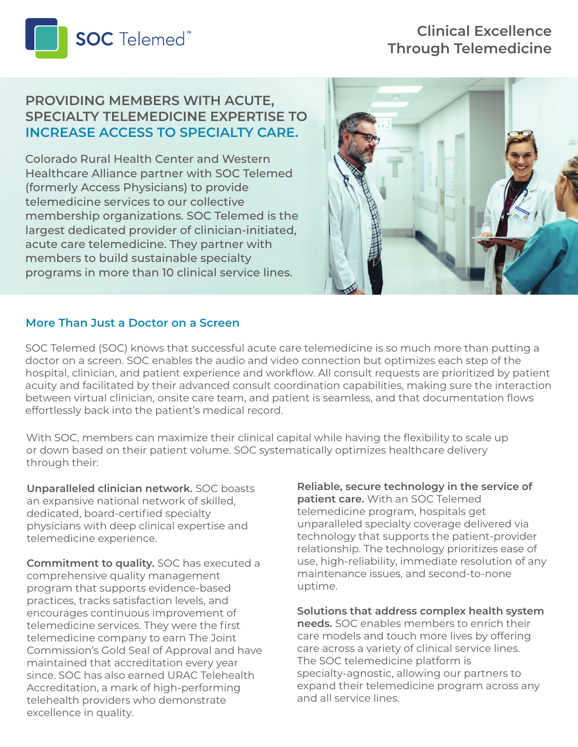

# **Clinical Excellence Through Telemedicine**

## **PROVIDING MEMBERS WITH ACUTE, SPECIALTY TELEMEDICINE EXPERTISE TO INCREASE ACCESS TO SPECIALTY CARE.**

Colorado Rural Health Center and Western Healthcare Alliance partner with SOC Telemed (formerly Access Physicians) to provide telemedicine services to our collective membership organizations. SOC Telemed is the largest dedicated provider of clinician-initiated, acute care telemedicine. They partner with members to build sustainable specialty programs in more than 10 clinical service lines.



#### **More Than Just a Doctor on a Screen**

SOC Telemed (SOC) knows that successful acute care telemedicine is so much more than putting a doctor on a screen. SOC enables the audio and video connection but optimizes each step of the hospital, clinician, and patient experience and workflow. All consult requests are prioritized by patient acuity and facilitated by their advanced consult coordination capabilities, making sure the interaction between virtual clinician, onsite care team, and patient is seamless, and that documentation flows effortlessly back into the patient's medical record.

With SOC, members can maximize their clinical capital while having the flexibility to scale up or down based on their patient volume. SOC systematically optimizes healthcare delivery through their:

**Unparalleled clinician network.** SOC boasts an expansive national network of skilled, dedicated, board-certified specialty physicians with deep clinical expertise and telemedicine experience.

**Commitment to quality.** SOC has executed a comprehensive quality management program that supports evidence-based practices, tracks satisfaction levels, and encourages continuous improvement of telemedicine services. They were the first telemedicine company to earn The Joint Commission's Gold Seal of Approval and have maintained that accreditation every year since. SOC has also earned URAC Telehealth Accreditation, a mark of high-performing telehealth providers who demonstrate excellence in quality.

**Reliable, secure technology in the service of patient care.** With an SOC Telemed telemedicine program, hospitals get unparalleled specialty coverage delivered via technology that supports the patient-provider relationship. The technology prioritizes ease of use, high-reliability, immediate resolution of any maintenance issues, and second-to-none uptime.

#### **Solutions that address complex health system**

**needs.** SOC enables members to enrich their care models and touch more lives by offering care across a variety of clinical service lines. The SOC telemedicine platform is specialty-agnostic, allowing our partners to expand their telemedicine program across any and all service lines.